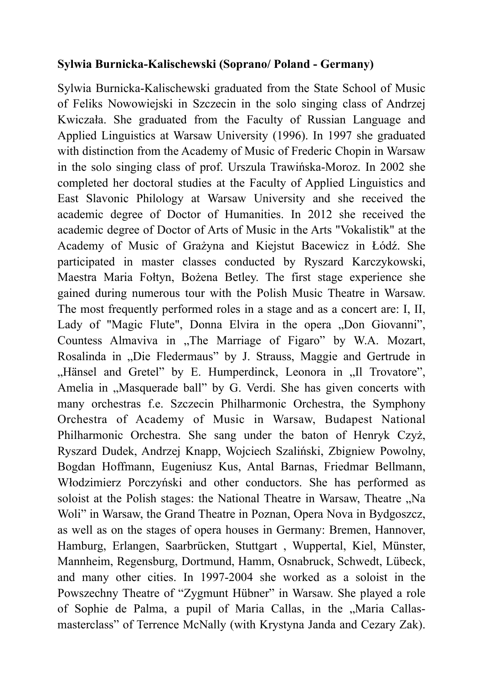## **Sylwia Burnicka-Kalischewski (Soprano/ Poland - Germany)**

Sylwia Burnicka-Kalischewski graduated from the State School of Music of Feliks Nowowiejski in Szczecin in the solo singing class of Andrzej Kwiczała. She graduated from the Faculty of Russian Language and Applied Linguistics at Warsaw University (1996). In 1997 she graduated with distinction from the Academy of Music of Frederic Chopin in Warsaw in the solo singing class of prof. Urszula Trawińska-Moroz. In 2002 she completed her doctoral studies at the Faculty of Applied Linguistics and East Slavonic Philology at Warsaw University and she received the academic degree of Doctor of Humanities. In 2012 she received the academic degree of Doctor of Arts of Music in the Arts "Vokalistik" at the Academy of Music of Grażyna and Kiejstut Bacewicz in Łódź. She participated in master classes conducted by Ryszard Karczykowski, Maestra Maria Fołtyn, Bożena Betley. The first stage experience she gained during numerous tour with the Polish Music Theatre in Warsaw. The most frequently performed roles in a stage and as a concert are: I, II, Lady of "Magic Flute", Donna Elvira in the opera "Don Giovanni", Countess Almaviva in ...The Marriage of Figaro" by W.A. Mozart, Rosalinda in "Die Fledermaus" by J. Strauss, Maggie and Gertrude in "Hänsel and Gretel" by E. Humperdinck, Leonora in "Il Trovatore", Amelia in "Masquerade ball" by G. Verdi. She has given concerts with many orchestras f.e. Szczecin Philharmonic Orchestra, the Symphony Orchestra of Academy of Music in Warsaw, Budapest National Philharmonic Orchestra. She sang under the baton of Henryk Czyż, Ryszard Dudek, Andrzej Knapp, Wojciech Szaliński, Zbigniew Powolny, Bogdan Hoffmann, Eugeniusz Kus, Antal Barnas, Friedmar Bellmann, Włodzimierz Porczyński and other conductors. She has performed as soloist at the Polish stages: the National Theatre in Warsaw, Theatre "Na Woli" in Warsaw, the Grand Theatre in Poznan, Opera Nova in Bydgoszcz, as well as on the stages of opera houses in Germany: Bremen, Hannover, Hamburg, Erlangen, Saarbrücken, Stuttgart , Wuppertal, Kiel, Münster, Mannheim, Regensburg, Dortmund, Hamm, Osnabruck, Schwedt, Lübeck, and many other cities. In 1997-2004 she worked as a soloist in the Powszechny Theatre of "Zygmunt Hübner" in Warsaw. She played a role of Sophie de Palma, a pupil of Maria Callas, in the "Maria Callasmasterclass" of Terrence McNally (with Krystyna Janda and Cezary Zak).